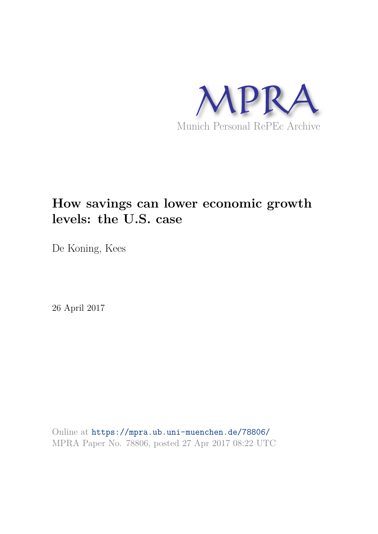

# **How savings can lower economic growth levels: the U.S. case**

De Koning, Kees

26 April 2017

Online at https://mpra.ub.uni-muenchen.de/78806/ MPRA Paper No. 78806, posted 27 Apr 2017 08:22 UTC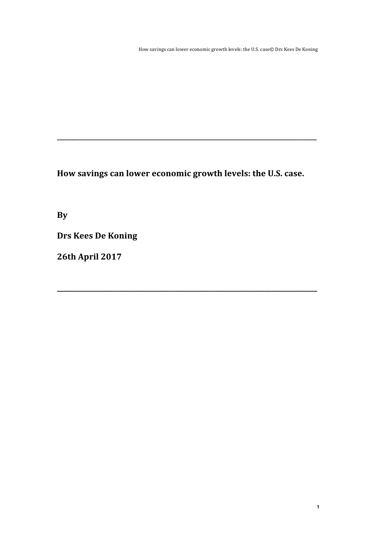How savings can lower economic growth levels: the U.S. case© Drs Kees De Koning

How savings can lower economic growth levels: the U.S. case.

**\_\_\_\_\_\_\_\_\_\_\_\_\_\_\_\_\_\_\_\_\_\_\_\_\_\_\_\_\_\_\_\_\_\_\_\_\_\_\_\_\_\_\_\_\_\_\_\_\_\_\_\_\_\_\_\_\_\_\_\_\_\_\_\_\_\_\_\_\_\_\_\_\_\_\_\_\_\_\_**

**\_\_\_\_\_\_\_\_\_\_\_\_\_\_\_\_\_\_\_\_\_\_\_\_\_\_\_\_\_\_\_\_\_\_\_\_\_\_\_\_\_\_\_\_\_\_\_\_\_\_\_\_\_\_\_\_\_\_\_\_\_\_\_\_\_\_\_\_\_\_\_\_\_\_\_\_\_\_\_\_\_\_\_\_\_\_\_\_\_\_\_\_**

**By**

**Drs Kees De Koning**

**26th April 2017**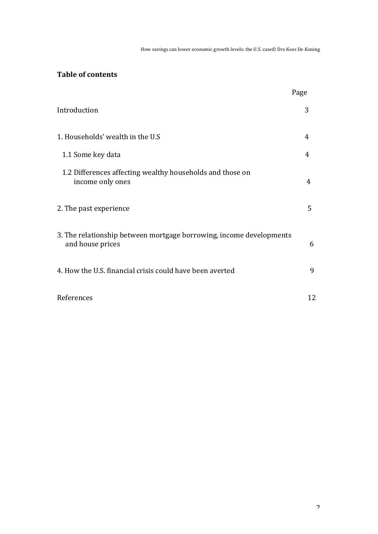How savings can lower economic growth levels: the U.S. case© Drs Kees De Koning

## **Table of contents**

|                                                                                         | Page |
|-----------------------------------------------------------------------------------------|------|
| Introduction                                                                            | 3    |
| 1. Households' wealth in the U.S                                                        | 4    |
| 1.1 Some key data                                                                       | 4    |
| 1.2 Differences affecting wealthy households and those on<br>income only ones           | 4    |
| 2. The past experience                                                                  | 5    |
| 3. The relationship between mortgage borrowing, income developments<br>and house prices | 6    |
| 4. How the U.S. financial crisis could have been averted                                | 9    |
| References                                                                              | 12   |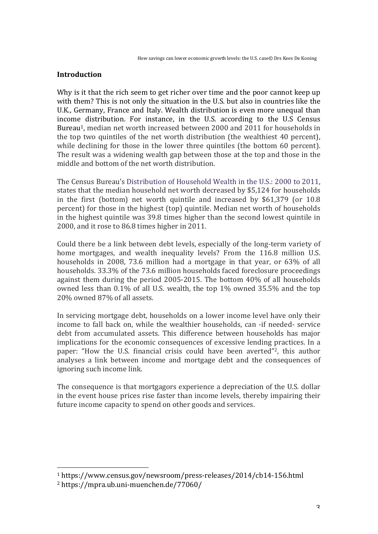### **Introduction**

Why is it that the rich seem to get richer over time and the poor cannot keep up with them? This is not only the situation in the U.S. but also in countries like the U.K., Germany, France and Italy. Wealth distribution is even more unequal than income distribution. For instance, in the U.S. according to the U.S Census Bureau<sup>1</sup>, median net worth increased between 2000 and 2011 for households in the top two quintiles of the net worth distribution (the wealthiest  $40$  percent), while declining for those in the lower three quintiles (the bottom 60 percent). The result was a widening wealth gap between those at the top and those in the middle and bottom of the net worth distribution.

The Census Bureau's Distribution of Household Wealth in the U.S.: 2000 to 2011. states that the median household net worth decreased by \$5,124 for households in the first (bottom) net worth quintile and increased by  $$61,379$  (or  $10.8$ ) percent) for those in the highest (top) quintile. Median net worth of households in the highest quintile was 39.8 times higher than the second lowest quintile in 2000, and it rose to 86.8 times higher in 2011.

Could there be a link between debt levels, especially of the long-term variety of home mortgages, and wealth inequality levels? From the 116.8 million U.S. households in 2008, 73.6 million had a mortgage in that year, or  $63\%$  of all households. 33.3% of the 73.6 million households faced foreclosure proceedings against them during the period 2005-2015. The bottom 40% of all households owned less than  $0.1\%$  of all U.S. wealth, the top  $1\%$  owned 35.5% and the top 20% owned 87% of all assets.

In servicing mortgage debt, households on a lower income level have only their income to fall back on, while the wealthier households, can -if needed- service debt from accumulated assets. This difference between households has major implications for the economic consequences of excessive lending practices. In a paper: "How the U.S. financial crisis could have been averted"<sup>2</sup>, this author analyses a link between income and mortgage debt and the consequences of ignoring such income link.

The consequence is that mortgagors experience a depreciation of the U.S. dollar in the event house prices rise faster than income levels, thereby impairing their future income capacity to spend on other goods and services.

 

<sup>&</sup>lt;sup>1</sup> https://www.census.gov/newsroom/press-releases/2014/cb14-156.html

<sup>2</sup> https://mpra.ub.uni-muenchen.de/77060/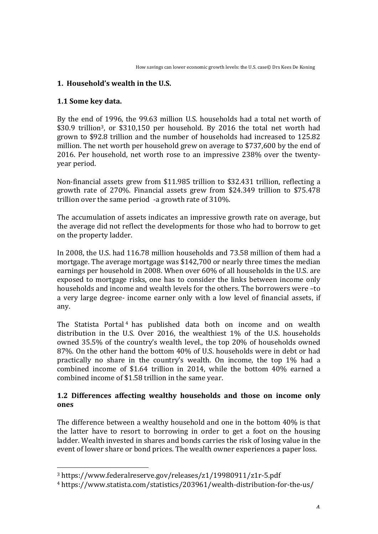#### **1. Household's wealth in the U.S.**

#### **1.1 Some key data.**

By the end of 1996, the 99.63 million U.S. households had a total net worth of \$30.9 trillion<sup>3</sup>, or \$310,150 per household. By 2016 the total net worth had grown to \$92.8 trillion and the number of households had increased to 125.82 million. The net worth per household grew on average to \$737,600 by the end of 2016. Per household, net worth rose to an impressive  $238%$  over the twentyyear period.

Non-financial assets grew from \$11.985 trillion to \$32.431 trillion, reflecting a growth rate of  $270\%$ . Financial assets grew from \$24.349 trillion to \$75.478 trillion over the same period  $-a$  growth rate of 310%.

The accumulation of assets indicates an impressive growth rate on average, but the average did not reflect the developments for those who had to borrow to get on the property ladder.

In 2008, the U.S. had 116.78 million households and 73.58 million of them had a mortgage. The average mortgage was  $$142,700$  or nearly three times the median earnings per household in 2008. When over 60% of all households in the U.S. are exposed to mortgage risks, one has to consider the links between income only households and income and wealth levels for the others. The borrowers were -to a very large degree- income earner only with a low level of financial assets, if any.

The Statista Portal<sup>4</sup> has published data both on income and on wealth distribution in the U.S. Over 2016, the wealthiest  $1\%$  of the U.S. households owned 35.5% of the country's wealth level., the top 20% of households owned 87%. On the other hand the bottom 40% of U.S. households were in debt or had practically no share in the country's wealth. On income, the top 1% had a combined income of \$1.64 trillion in 2014, while the bottom  $40\%$  earned a combined income of \$1.58 trillion in the same year.

#### **1.2 Differences affecting wealthy households and those on income only ones**

The difference between a wealthy household and one in the bottom  $40\%$  is that the latter have to resort to borrowing in order to get a foot on the housing ladder. Wealth invested in shares and bonds carries the risk of losing value in the event of lower share or bond prices. The wealth owner experiences a paper loss.

 

<sup>3</sup> https://www.federalreserve.gov/releases/z1/19980911/z1r-5.pdf

<sup>&</sup>lt;sup>4</sup> https://www.statista.com/statistics/203961/wealth-distribution-for-the-us/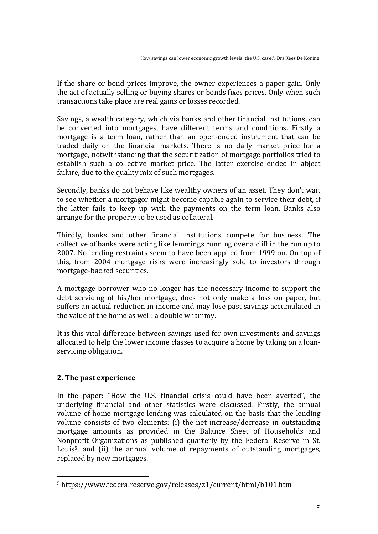If the share or bond prices improve, the owner experiences a paper gain. Only the act of actually selling or buying shares or bonds fixes prices. Only when such transactions take place are real gains or losses recorded.

Savings, a wealth category, which via banks and other financial institutions, can be converted into mortgages, have different terms and conditions. Firstly a mortgage is a term loan, rather than an open-ended instrument that can be traded daily on the financial markets. There is no daily market price for a mortgage, notwithstanding that the securitization of mortgage portfolios tried to establish such a collective market price. The latter exercise ended in abject failure, due to the quality mix of such mortgages.

Secondly, banks do not behave like wealthy owners of an asset. They don't wait to see whether a mortgagor might become capable again to service their debt, if the latter fails to keep up with the payments on the term loan. Banks also arrange for the property to be used as collateral.

Thirdly, banks and other financial institutions compete for business. The collective of banks were acting like lemmings running over a cliff in the run up to 2007. No lending restraints seem to have been applied from 1999 on. On top of this, from 2004 mortgage risks were increasingly sold to investors through mortgage-backed securities.

A mortgage borrower who no longer has the necessary income to support the debt servicing of his/her mortgage, does not only make a loss on paper, but suffers an actual reduction in income and may lose past savings accumulated in the value of the home as well: a double whammy.

It is this vital difference between savings used for own investments and savings allocated to help the lower income classes to acquire a home by taking on a loanservicing obligation.

#### **2.** The past experience

<u> 1989 - Jan Samuel Barbara, politik eta politik eta politik eta politik eta politik eta politik eta politik e</u>

In the paper: "How the U.S. financial crisis could have been averted", the underlying financial and other statistics were discussed. Firstly, the annual volume of home mortgage lending was calculated on the basis that the lending volume consists of two elements: (i) the net increase/decrease in outstanding mortgage amounts as provided in the Balance Sheet of Households and Nonprofit Organizations as published quarterly by the Federal Reserve in St. Louis<sup>5</sup>, and (ii) the annual volume of repayments of outstanding mortgages, replaced by new mortgages.

<sup>5</sup> https://www.federalreserve.gov/releases/z1/current/html/b101.htm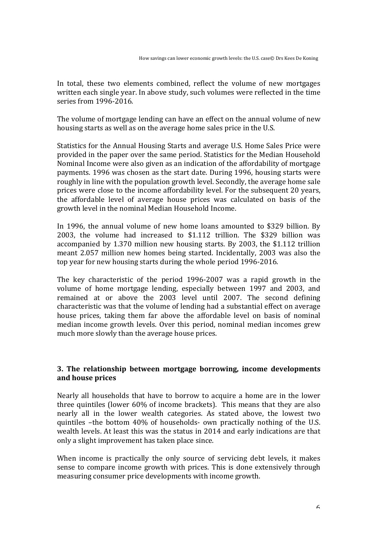In total, these two elements combined, reflect the volume of new mortgages written each single year. In above study, such volumes were reflected in the time series from 1996-2016.

The volume of mortgage lending can have an effect on the annual volume of new housing starts as well as on the average home sales price in the U.S.

Statistics for the Annual Housing Starts and average U.S. Home Sales Price were provided in the paper over the same period. Statistics for the Median Household Nominal Income were also given as an indication of the affordability of mortgage payments. 1996 was chosen as the start date. During 1996, housing starts were roughly in line with the population growth level. Secondly, the average home sale prices were close to the income affordability level. For the subsequent 20 years, the affordable level of average house prices was calculated on basis of the growth level in the nominal Median Household Income.

In 1996, the annual volume of new home loans amounted to \$329 billion. By 2003, the volume had increased to \$1.112 trillion. The \$329 billion was accompanied by 1.370 million new housing starts. By 2003, the \$1.112 trillion meant 2.057 million new homes being started. Incidentally, 2003 was also the top year for new housing starts during the whole period 1996-2016.

The key characteristic of the period 1996-2007 was a rapid growth in the volume of home mortgage lending, especially between 1997 and 2003, and remained at or above the 2003 level until 2007. The second defining characteristic was that the volume of lending had a substantial effect on average house prices, taking them far above the affordable level on basis of nominal median income growth levels. Over this period, nominal median incomes grew much more slowly than the average house prices.

#### **3.** The relationship between mortgage borrowing, income developments and house prices

Nearly all households that have to borrow to acquire a home are in the lower three quintiles (lower  $60\%$  of income brackets). This means that they are also nearly all in the lower wealth categories. As stated above, the lowest two quintiles -the bottom 40% of households- own practically nothing of the U.S. wealth levels. At least this was the status in 2014 and early indications are that only a slight improvement has taken place since.

When income is practically the only source of servicing debt levels, it makes sense to compare income growth with prices. This is done extensively through measuring consumer price developments with income growth.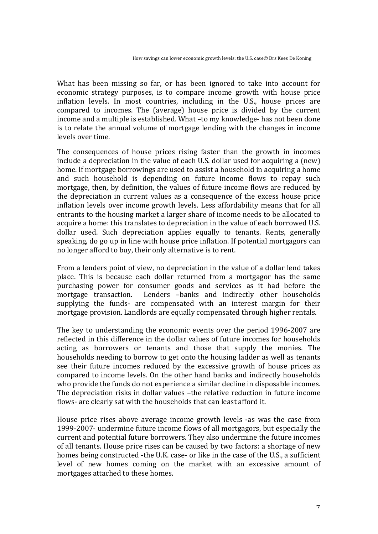What has been missing so far, or has been ignored to take into account for economic strategy purposes, is to compare income growth with house price inflation levels. In most countries, including in the U.S., house prices are compared to incomes. The (average) house price is divided by the current income and a multiple is established. What -to my knowledge- has not been done is to relate the annual volume of mortgage lending with the changes in income levels over time. 

The consequences of house prices rising faster than the growth in incomes include a depreciation in the value of each U.S. dollar used for acquiring a (new) home. If mortgage borrowings are used to assist a household in acquiring a home and such household is depending on future income flows to repay such mortgage, then, by definition, the values of future income flows are reduced by the depreciation in current values as a consequence of the excess house price inflation levels over income growth levels. Less affordability means that for all entrants to the housing market a larger share of income needs to be allocated to acquire a home: this translates to depreciation in the value of each borrowed U.S. dollar used. Such depreciation applies equally to tenants. Rents, generally speaking, do go up in line with house price inflation. If potential mortgagors can no longer afford to buy, their only alternative is to rent.

From a lenders point of view, no depreciation in the value of a dollar lend takes place. This is because each dollar returned from a mortgagor has the same purchasing power for consumer goods and services as it had before the mortgage transaction. Lenders -banks and indirectly other households supplying the funds- are compensated with an interest margin for their mortgage provision. Landlords are equally compensated through higher rentals.

The key to understanding the economic events over the period 1996-2007 are reflected in this difference in the dollar values of future incomes for households acting as borrowers or tenants and those that supply the monies. The households needing to borrow to get onto the housing ladder as well as tenants see their future incomes reduced by the excessive growth of house prices as compared to income levels. On the other hand banks and indirectly households who provide the funds do not experience a similar decline in disposable incomes. The depreciation risks in dollar values -the relative reduction in future income flows- are clearly sat with the households that can least afford it.

House price rises above average income growth levels -as was the case from 1999-2007- undermine future income flows of all mortgagors, but especially the current and potential future borrowers. They also undermine the future incomes of all tenants. House price rises can be caused by two factors: a shortage of new homes being constructed -the U.K. case- or like in the case of the U.S., a sufficient level of new homes coming on the market with an excessive amount of mortgages attached to these homes.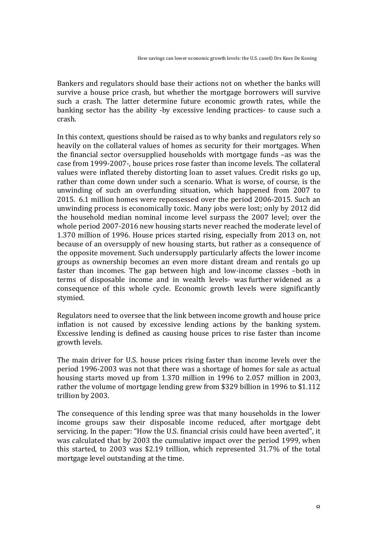Bankers and regulators should base their actions not on whether the banks will survive a house price crash, but whether the mortgage borrowers will survive such a crash. The latter determine future economic growth rates, while the banking sector has the ability -by excessive lending practices- to cause such a crash. 

In this context, questions should be raised as to why banks and regulators rely so heavily on the collateral values of homes as security for their mortgages. When the financial sector oversupplied households with mortgage funds  $-$ as was the case from 1999-2007-, house prices rose faster than income levels. The collateral values were inflated thereby distorting loan to asset values. Credit risks go up, rather than come down under such a scenario. What is worse, of course, is the unwinding of such an overfunding situation, which happened from 2007 to 2015. 6.1 million homes were repossessed over the period 2006-2015. Such an unwinding process is economically toxic. Many jobs were lost; only by 2012 did the household median nominal income level surpass the 2007 level; over the whole period 2007-2016 new housing starts never reached the moderate level of 1.370 million of 1996. House prices started rising, especially from 2013 on, not because of an oversupply of new housing starts, but rather as a consequence of the opposite movement. Such undersupply particularly affects the lower income groups as ownership becomes an even more distant dream and rentals go up faster than incomes. The gap between high and low-income classes -both in terms of disposable income and in wealth levels- was further widened as a consequence of this whole cycle. Economic growth levels were significantly stymied. 

Regulators need to oversee that the link between income growth and house price inflation is not caused by excessive lending actions by the banking system. Excessive lending is defined as causing house prices to rise faster than income growth levels.

The main driver for U.S. house prices rising faster than income levels over the period 1996-2003 was not that there was a shortage of homes for sale as actual housing starts moved up from 1.370 million in 1996 to 2.057 million in 2003, rather the volume of mortgage lending grew from \$329 billion in 1996 to \$1.112 trillion by 2003.

The consequence of this lending spree was that many households in the lower income groups saw their disposable income reduced, after mortgage debt servicing. In the paper: "How the U.S. financial crisis could have been averted", it was calculated that by 2003 the cumulative impact over the period 1999, when this started, to  $2003$  was \$2.19 trillion, which represented  $31.7\%$  of the total mortgage level outstanding at the time.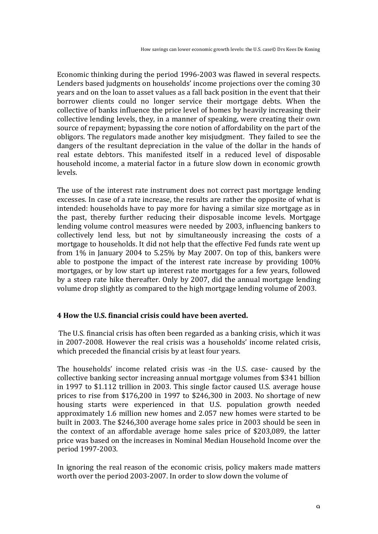Economic thinking during the period 1996-2003 was flawed in several respects. Lenders based judgments on households' income projections over the coming 30 years and on the loan to asset values as a fall back position in the event that their borrower clients could no longer service their mortgage debts. When the collective of banks influence the price level of homes by heavily increasing their collective lending levels, they, in a manner of speaking, were creating their own source of repayment; bypassing the core notion of affordability on the part of the obligors. The regulators made another key misjudgment. They failed to see the dangers of the resultant depreciation in the value of the dollar in the hands of real estate debtors. This manifested itself in a reduced level of disposable household income, a material factor in a future slow down in economic growth levels. 

The use of the interest rate instrument does not correct past mortgage lending excesses. In case of a rate increase, the results are rather the opposite of what is intended: households have to pay more for having a similar size mortgage as in the past, thereby further reducing their disposable income levels. Mortgage lending volume control measures were needed by 2003, influencing bankers to collectively lend less, but not by simultaneously increasing the costs of a mortgage to households. It did not help that the effective Fed funds rate went up from  $1\%$  in January 2004 to 5.25% by May 2007. On top of this, bankers were able to postpone the impact of the interest rate increase by providing  $100\%$ mortgages, or by low start up interest rate mortgages for a few years, followed by a steep rate hike thereafter. Only by 2007, did the annual mortgage lending volume drop slightly as compared to the high mortgage lending volume of 2003.

#### **4 How the U.S. financial crisis could have been averted.**

The U.S. financial crisis has often been regarded as a banking crisis, which it was in 2007-2008. However the real crisis was a households' income related crisis, which preceded the financial crisis by at least four years.

The households' income related crisis was -in the U.S. case- caused by the collective banking sector increasing annual mortgage volumes from \$341 billion in 1997 to \$1.112 trillion in 2003. This single factor caused U.S. average house prices to rise from  $$176,200$  in 1997 to  $$246,300$  in 2003. No shortage of new housing starts were experienced in that U.S. population growth needed approximately 1.6 million new homes and 2.057 new homes were started to be built in 2003. The \$246,300 average home sales price in 2003 should be seen in the context of an affordable average home sales price of \$203,089, the latter price was based on the increases in Nominal Median Household Income over the period 1997-2003.

In ignoring the real reason of the economic crisis, policy makers made matters worth over the period 2003-2007. In order to slow down the volume of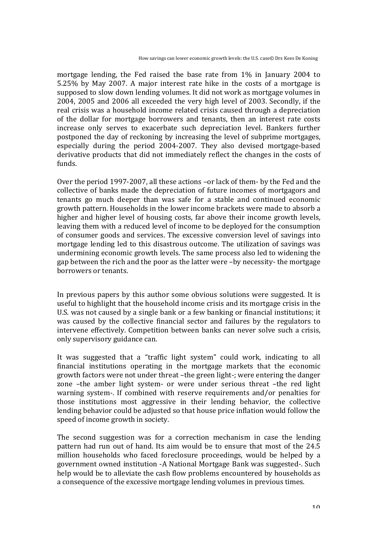mortgage lending, the Fed raised the base rate from 1% in January 2004 to 5.25% by May 2007. A major interest rate hike in the costs of a mortgage is supposed to slow down lending volumes. It did not work as mortgage volumes in 2004, 2005 and 2006 all exceeded the very high level of 2003. Secondly, if the real crisis was a household income related crisis caused through a depreciation of the dollar for mortgage borrowers and tenants, then an interest rate costs increase only serves to exacerbate such depreciation level. Bankers further postponed the day of reckoning by increasing the level of subprime mortgages, especially during the period 2004-2007. They also devised mortgage-based derivative products that did not immediately reflect the changes in the costs of funds.

Over the period 1997-2007, all these actions -or lack of them- by the Fed and the collective of banks made the depreciation of future incomes of mortgagors and tenants go much deeper than was safe for a stable and continued economic growth pattern. Households in the lower income brackets were made to absorb a higher and higher level of housing costs, far above their income growth levels, leaving them with a reduced level of income to be deployed for the consumption of consumer goods and services. The excessive conversion level of savings into mortgage lending led to this disastrous outcome. The utilization of savings was undermining economic growth levels. The same process also led to widening the gap between the rich and the poor as the latter were -by necessity- the mortgage borrowers or tenants.

In previous papers by this author some obvious solutions were suggested. It is useful to highlight that the household income crisis and its mortgage crisis in the U.S. was not caused by a single bank or a few banking or financial institutions; it was caused by the collective financial sector and failures by the regulators to intervene effectively. Competition between banks can never solve such a crisis, only supervisory guidance can.

It was suggested that a "traffic light system" could work, indicating to all financial institutions operating in the mortgage markets that the economic growth factors were not under threat -the green light-; were entering the danger zone -the amber light system- or were under serious threat -the red light warning system-. If combined with reserve requirements and/or penalties for those institutions most aggressive in their lending behavior, the collective lending behavior could be adjusted so that house price inflation would follow the speed of income growth in society.

The second suggestion was for a correction mechanism in case the lending pattern had run out of hand. Its aim would be to ensure that most of the 24.5 million households who faced foreclosure proceedings, would be helped by a government owned institution -A National Mortgage Bank was suggested-. Such help would be to alleviate the cash flow problems encountered by households as a consequence of the excessive mortgage lending volumes in previous times.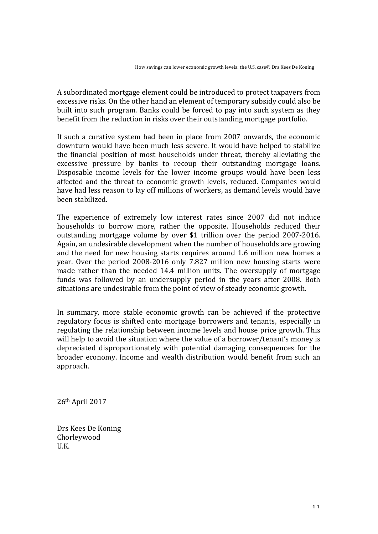A subordinated mortgage element could be introduced to protect taxpayers from excessive risks. On the other hand an element of temporary subsidy could also be built into such program. Banks could be forced to pay into such system as they benefit from the reduction in risks over their outstanding mortgage portfolio.

If such a curative system had been in place from  $2007$  onwards, the economic downturn would have been much less severe. It would have helped to stabilize the financial position of most households under threat, thereby alleviating the excessive pressure by banks to recoup their outstanding mortgage loans. Disposable income levels for the lower income groups would have been less affected and the threat to economic growth levels, reduced. Companies would have had less reason to lay off millions of workers, as demand levels would have been stabilized.

The experience of extremely low interest rates since 2007 did not induce households to borrow more, rather the opposite. Households reduced their outstanding mortgage volume by over \$1 trillion over the period 2007-2016. Again, an undesirable development when the number of households are growing and the need for new housing starts requires around 1.6 million new homes a year. Over the period 2008-2016 only 7.827 million new housing starts were made rather than the needed 14.4 million units. The oversupply of mortgage funds was followed by an undersupply period in the years after 2008. Both situations are undesirable from the point of view of steady economic growth.

In summary, more stable economic growth can be achieved if the protective regulatory focus is shifted onto mortgage borrowers and tenants, especially in regulating the relationship between income levels and house price growth. This will help to avoid the situation where the value of a borrower/tenant's money is depreciated disproportionately with potential damaging consequences for the broader economy. Income and wealth distribution would benefit from such an approach.

26th April 2017

Drs Kees De Koning Chorleywood U.K.